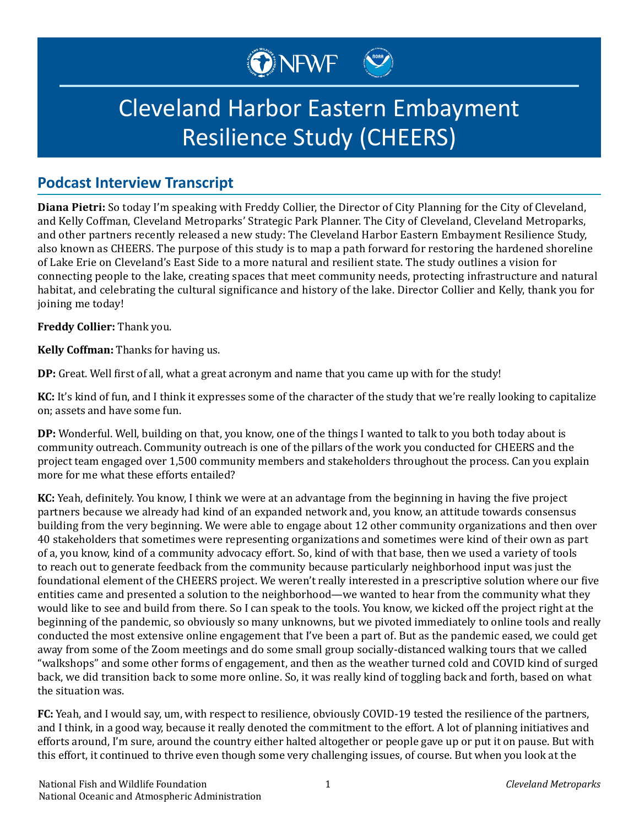

## Cleveland Harbor Eastern Embayment Resilience Study (CHEERS)

## **Podcast Interview Transcript**

**Diana Pietri:** So today I'm speaking with Freddy Collier, the Director of City Planning for the City of Cleveland, and Kelly Coffman, Cleveland Metroparks' Strategic Park Planner. The City of Cleveland, Cleveland Metroparks, and other partners recently released a new study: The Cleveland Harbor Eastern Embayment Resilience Study, also known as CHEERS. The purpose of this study is to map a path forward for restoring the hardened shoreline of Lake Erie on Cleveland's East Side to a more natural and resilient state. The study outlines a vision for connecting people to the lake, creating spaces that meet community needs, protecting infrastructure and natural habitat, and celebrating the cultural significance and history of the lake. Director Collier and Kelly, thank you for joining me today!

**Freddy Collier:** Thank you.

**Kelly Coffman:** Thanks for having us.

**DP:** Great. Well first of all, what a great acronym and name that you came up with for the study!

**KC:** It's kind of fun, and I think it expresses some of the character of the study that we're really looking to capitalize on; assets and have some fun.

**DP:** Wonderful. Well, building on that, you know, one of the things I wanted to talk to you both today about is community outreach. Community outreach is one of the pillars of the work you conducted for CHEERS and the project team engaged over 1,500 community members and stakeholders throughout the process. Can you explain more for me what these efforts entailed?

**KC:** Yeah, definitely. You know, I think we were at an advantage from the beginning in having the five project partners because we already had kind of an expanded network and, you know, an attitude towards consensus building from the very beginning. We were able to engage about 12 other community organizations and then over 40 stakeholders that sometimes were representing organizations and sometimes were kind of their own as part of a, you know, kind of a community advocacy effort. So, kind of with that base, then we used a variety of tools to reach out to generate feedback from the community because particularly neighborhood input was just the foundational element of the CHEERS project. We weren't really interested in a prescriptive solution where our five entities came and presented a solution to the neighborhood—we wanted to hear from the community what they would like to see and build from there. So I can speak to the tools. You know, we kicked off the project right at the beginning of the pandemic, so obviously so many unknowns, but we pivoted immediately to online tools and really conducted the most extensive online engagement that I've been a part of. But as the pandemic eased, we could get away from some of the Zoom meetings and do some small group socially-distanced walking tours that we called "walkshops" and some other forms of engagement, and then as the weather turned cold and COVID kind of surged back, we did transition back to some more online. So, it was really kind of toggling back and forth, based on what the situation was.

**FC:** Yeah, and I would say, um, with respect to resilience, obviously COVID-19 tested the resilience of the partners, and I think, in a good way, because it really denoted the commitment to the effort. A lot of planning initiatives and efforts around, I'm sure, around the country either halted altogether or people gave up or put it on pause. But with this effort, it continued to thrive even though some very challenging issues, of course. But when you look at the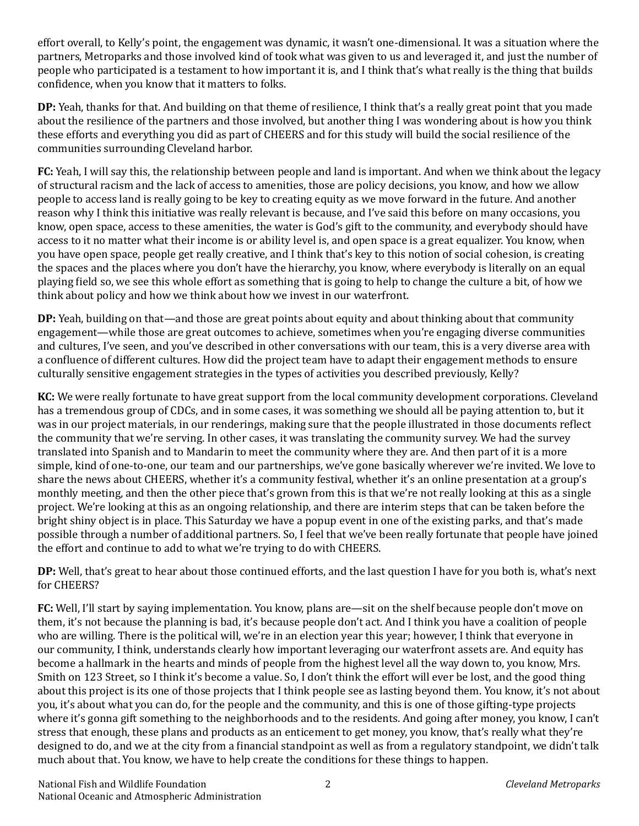effort overall, to Kelly's point, the engagement was dynamic, it wasn't one-dimensional. It was a situation where the partners, Metroparks and those involved kind of took what was given to us and leveraged it, and just the number of people who participated is a testament to how important it is, and I think that's what really is the thing that builds confidence, when you know that it matters to folks.

**DP:** Yeah, thanks for that. And building on that theme of resilience, I think that's a really great point that you made about the resilience of the partners and those involved, but another thing I was wondering about is how you think these efforts and everything you did as part of CHEERS and for this study will build the social resilience of the communities surrounding Cleveland harbor.

**FC:** Yeah, I will say this, the relationship between people and land is important. And when we think about the legacy of structural racism and the lack of access to amenities, those are policy decisions, you know, and how we allow people to access land is really going to be key to creating equity as we move forward in the future. And another reason why I think this initiative was really relevant is because, and I've said this before on many occasions, you know, open space, access to these amenities, the water is God's gift to the community, and everybody should have access to it no matter what their income is or ability level is, and open space is a great equalizer. You know, when you have open space, people get really creative, and I think that's key to this notion of social cohesion, is creating the spaces and the places where you don't have the hierarchy, you know, where everybody is literally on an equal playing field so, we see this whole effort as something that is going to help to change the culture a bit, of how we think about policy and how we think about how we invest in our waterfront.

**DP:** Yeah, building on that—and those are great points about equity and about thinking about that community engagement—while those are great outcomes to achieve, sometimes when you're engaging diverse communities and cultures, I've seen, and you've described in other conversations with our team, this is a very diverse area with a confluence of different cultures. How did the project team have to adapt their engagement methods to ensure culturally sensitive engagement strategies in the types of activities you described previously, Kelly?

**KC:** We were really fortunate to have great support from the local community development corporations. Cleveland has a tremendous group of CDCs, and in some cases, it was something we should all be paying attention to, but it was in our project materials, in our renderings, making sure that the people illustrated in those documents reflect the community that we're serving. In other cases, it was translating the community survey. We had the survey translated into Spanish and to Mandarin to meet the community where they are. And then part of it is a more simple, kind of one-to-one, our team and our partnerships, we've gone basically wherever we're invited. We love to share the news about CHEERS, whether it's a community festival, whether it's an online presentation at a group's monthly meeting, and then the other piece that's grown from this is that we're not really looking at this as a single project. We're looking at this as an ongoing relationship, and there are interim steps that can be taken before the bright shiny object is in place. This Saturday we have a popup event in one of the existing parks, and that's made possible through a number of additional partners. So, I feel that we've been really fortunate that people have joined the effort and continue to add to what we're trying to do with CHEERS.

**DP:** Well, that's great to hear about those continued efforts, and the last question I have for you both is, what's next for CHEERS?

**FC:** Well, I'll start by saying implementation. You know, plans are—sit on the shelf because people don't move on them, it's not because the planning is bad, it's because people don't act. And I think you have a coalition of people who are willing. There is the political will, we're in an election year this year; however, I think that everyone in our community, I think, understands clearly how important leveraging our waterfront assets are. And equity has become a hallmark in the hearts and minds of people from the highest level all the way down to, you know, Mrs. Smith on 123 Street, so I think it's become a value. So, I don't think the effort will ever be lost, and the good thing about this project is its one of those projects that I think people see as lasting beyond them. You know, it's not about you, it's about what you can do, for the people and the community, and this is one of those gifting-type projects where it's gonna gift something to the neighborhoods and to the residents. And going after money, you know, I can't stress that enough, these plans and products as an enticement to get money, you know, that's really what they're designed to do, and we at the city from a financial standpoint as well as from a regulatory standpoint, we didn't talk much about that. You know, we have to help create the conditions for these things to happen.